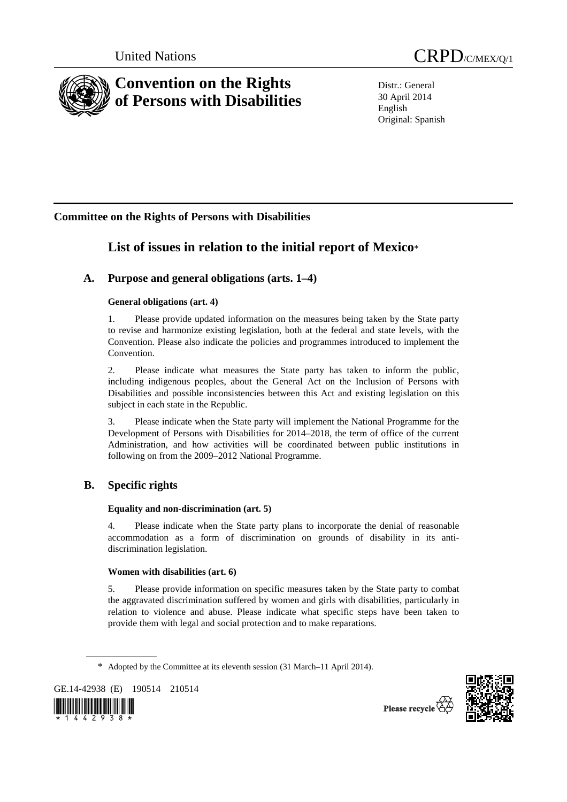

Distr.: General 30 April 2014 English Original: Spanish

## **Committee on the Rights of Persons with Disabilities**

# **List of issues in relation to the initial report of Mexico**\*

## **A. Purpose and general obligations (arts. 1–4)**

## **General obligations (art. 4)**

1. Please provide updated information on the measures being taken by the State party to revise and harmonize existing legislation, both at the federal and state levels, with the Convention. Please also indicate the policies and programmes introduced to implement the Convention.

2. Please indicate what measures the State party has taken to inform the public, including indigenous peoples, about the General Act on the Inclusion of Persons with Disabilities and possible inconsistencies between this Act and existing legislation on this subject in each state in the Republic.

3. Please indicate when the State party will implement the National Programme for the Development of Persons with Disabilities for 2014–2018, the term of office of the current Administration, and how activities will be coordinated between public institutions in following on from the 2009–2012 National Programme.

## **B. Specific rights**

## **Equality and non-discrimination (art. 5)**

4. Please indicate when the State party plans to incorporate the denial of reasonable accommodation as a form of discrimination on grounds of disability in its antidiscrimination legislation.

## **Women with disabilities (art. 6)**

5. Please provide information on specific measures taken by the State party to combat the aggravated discrimination suffered by women and girls with disabilities, particularly in relation to violence and abuse. Please indicate what specific steps have been taken to provide them with legal and social protection and to make reparations.

GE.14-42938 (E) 190514 210514





Please recycle

<sup>\*</sup> Adopted by the Committee at its eleventh session (31 March–11 April 2014).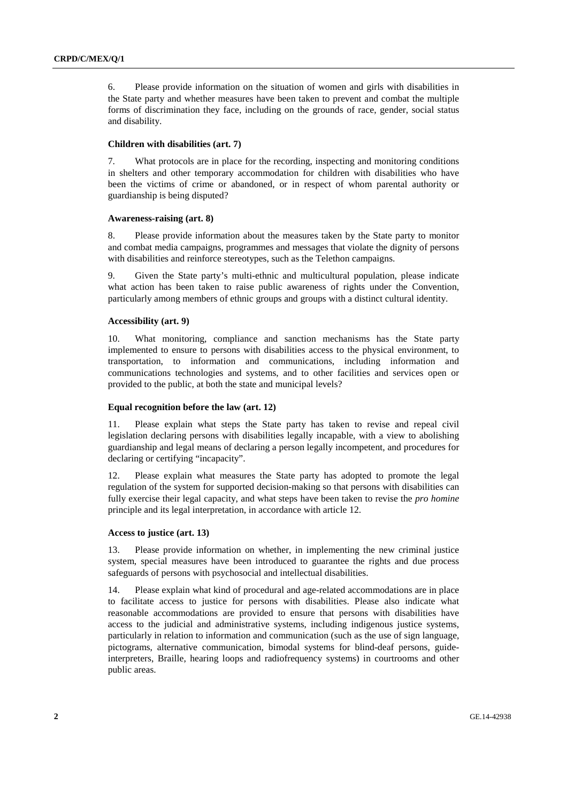6. Please provide information on the situation of women and girls with disabilities in the State party and whether measures have been taken to prevent and combat the multiple forms of discrimination they face, including on the grounds of race, gender, social status and disability.

#### **Children with disabilities (art. 7)**

7. What protocols are in place for the recording, inspecting and monitoring conditions in shelters and other temporary accommodation for children with disabilities who have been the victims of crime or abandoned, or in respect of whom parental authority or guardianship is being disputed?

#### **Awareness-raising (art. 8)**

8. Please provide information about the measures taken by the State party to monitor and combat media campaigns, programmes and messages that violate the dignity of persons with disabilities and reinforce stereotypes, such as the Telethon campaigns.

9. Given the State party's multi-ethnic and multicultural population, please indicate what action has been taken to raise public awareness of rights under the Convention, particularly among members of ethnic groups and groups with a distinct cultural identity.

#### **Accessibility (art. 9)**

10. What monitoring, compliance and sanction mechanisms has the State party implemented to ensure to persons with disabilities access to the physical environment, to transportation, to information and communications, including information and communications technologies and systems, and to other facilities and services open or provided to the public, at both the state and municipal levels?

#### **Equal recognition before the law (art. 12)**

11. Please explain what steps the State party has taken to revise and repeal civil legislation declaring persons with disabilities legally incapable, with a view to abolishing guardianship and legal means of declaring a person legally incompetent, and procedures for declaring or certifying "incapacity".

12. Please explain what measures the State party has adopted to promote the legal regulation of the system for supported decision-making so that persons with disabilities can fully exercise their legal capacity, and what steps have been taken to revise the *pro homine* principle and its legal interpretation, in accordance with article 12.

#### **Access to justice (art. 13)**

13. Please provide information on whether, in implementing the new criminal justice system, special measures have been introduced to guarantee the rights and due process safeguards of persons with psychosocial and intellectual disabilities.

14. Please explain what kind of procedural and age-related accommodations are in place to facilitate access to justice for persons with disabilities. Please also indicate what reasonable accommodations are provided to ensure that persons with disabilities have access to the judicial and administrative systems, including indigenous justice systems, particularly in relation to information and communication (such as the use of sign language, pictograms, alternative communication, bimodal systems for blind-deaf persons, guideinterpreters, Braille, hearing loops and radiofrequency systems) in courtrooms and other public areas.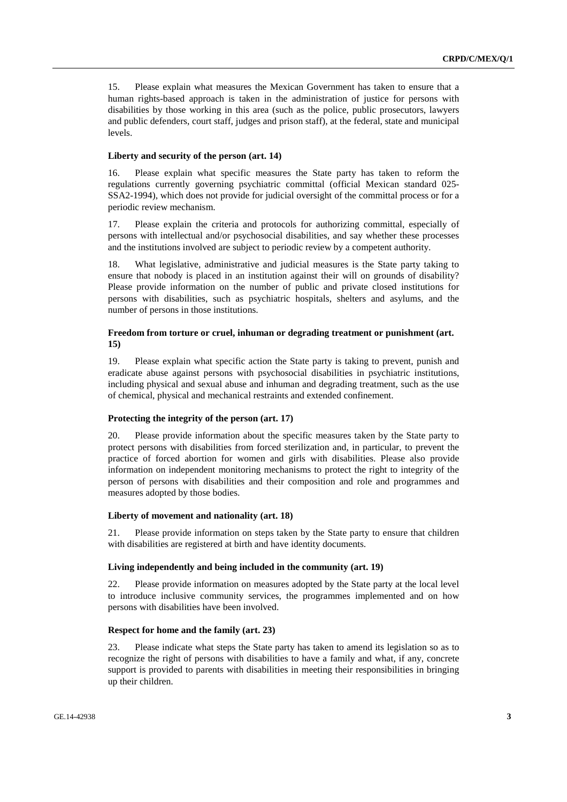15. Please explain what measures the Mexican Government has taken to ensure that a human rights-based approach is taken in the administration of justice for persons with disabilities by those working in this area (such as the police, public prosecutors, lawyers and public defenders, court staff, judges and prison staff), at the federal, state and municipal levels.

#### **Liberty and security of the person (art. 14)**

16. Please explain what specific measures the State party has taken to reform the regulations currently governing psychiatric committal (official Mexican standard 025- SSA2-1994), which does not provide for judicial oversight of the committal process or for a periodic review mechanism.

17. Please explain the criteria and protocols for authorizing committal, especially of persons with intellectual and/or psychosocial disabilities, and say whether these processes and the institutions involved are subject to periodic review by a competent authority.

18. What legislative, administrative and judicial measures is the State party taking to ensure that nobody is placed in an institution against their will on grounds of disability? Please provide information on the number of public and private closed institutions for persons with disabilities, such as psychiatric hospitals, shelters and asylums, and the number of persons in those institutions.

#### **Freedom from torture or cruel, inhuman or degrading treatment or punishment (art. 15)**

19. Please explain what specific action the State party is taking to prevent, punish and eradicate abuse against persons with psychosocial disabilities in psychiatric institutions, including physical and sexual abuse and inhuman and degrading treatment, such as the use of chemical, physical and mechanical restraints and extended confinement.

#### **Protecting the integrity of the person (art. 17)**

20. Please provide information about the specific measures taken by the State party to protect persons with disabilities from forced sterilization and, in particular, to prevent the practice of forced abortion for women and girls with disabilities. Please also provide information on independent monitoring mechanisms to protect the right to integrity of the person of persons with disabilities and their composition and role and programmes and measures adopted by those bodies.

#### **Liberty of movement and nationality (art. 18)**

21. Please provide information on steps taken by the State party to ensure that children with disabilities are registered at birth and have identity documents.

#### **Living independently and being included in the community (art. 19)**

22. Please provide information on measures adopted by the State party at the local level to introduce inclusive community services, the programmes implemented and on how persons with disabilities have been involved.

#### **Respect for home and the family (art. 23)**

23. Please indicate what steps the State party has taken to amend its legislation so as to recognize the right of persons with disabilities to have a family and what, if any, concrete support is provided to parents with disabilities in meeting their responsibilities in bringing up their children.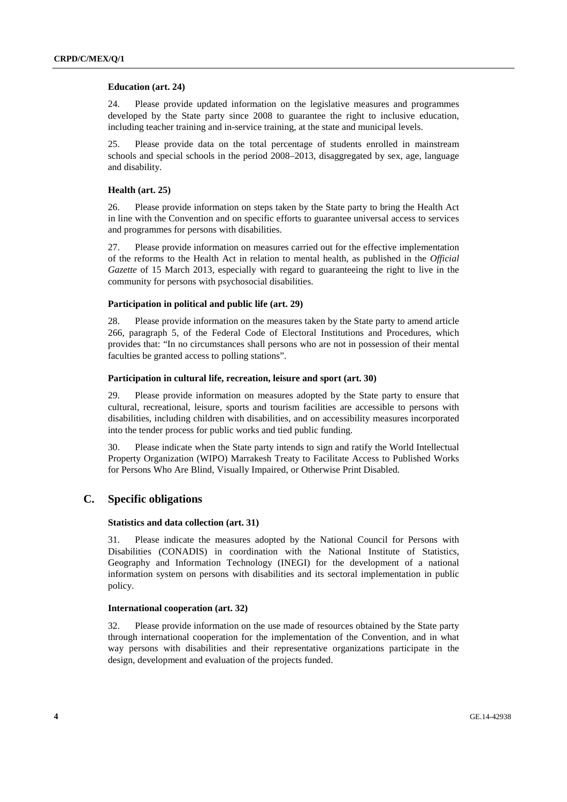#### **Education (art. 24)**

24. Please provide updated information on the legislative measures and programmes developed by the State party since 2008 to guarantee the right to inclusive education, including teacher training and in-service training, at the state and municipal levels.

25. Please provide data on the total percentage of students enrolled in mainstream schools and special schools in the period 2008–2013, disaggregated by sex, age, language and disability.

#### **Health (art. 25)**

26. Please provide information on steps taken by the State party to bring the Health Act in line with the Convention and on specific efforts to guarantee universal access to services and programmes for persons with disabilities.

27. Please provide information on measures carried out for the effective implementation of the reforms to the Health Act in relation to mental health, as published in the *Official Gazette* of 15 March 2013, especially with regard to guaranteeing the right to live in the community for persons with psychosocial disabilities.

#### **Participation in political and public life (art. 29)**

28. Please provide information on the measures taken by the State party to amend article 266, paragraph 5, of the Federal Code of Electoral Institutions and Procedures, which provides that: "In no circumstances shall persons who are not in possession of their mental faculties be granted access to polling stations".

#### **Participation in cultural life, recreation, leisure and sport (art. 30)**

29. Please provide information on measures adopted by the State party to ensure that cultural, recreational, leisure, sports and tourism facilities are accessible to persons with disabilities, including children with disabilities, and on accessibility measures incorporated into the tender process for public works and tied public funding.

30. Please indicate when the State party intends to sign and ratify the World Intellectual Property Organization (WIPO) Marrakesh Treaty to Facilitate Access to Published Works for Persons Who Are Blind, Visually Impaired, or Otherwise Print Disabled.

## **C. Specific obligations**

#### **Statistics and data collection (art. 31)**

31. Please indicate the measures adopted by the National Council for Persons with Disabilities (CONADIS) in coordination with the National Institute of Statistics, Geography and Information Technology (INEGI) for the development of a national information system on persons with disabilities and its sectoral implementation in public policy.

#### **International cooperation (art. 32)**

32. Please provide information on the use made of resources obtained by the State party through international cooperation for the implementation of the Convention, and in what way persons with disabilities and their representative organizations participate in the design, development and evaluation of the projects funded.